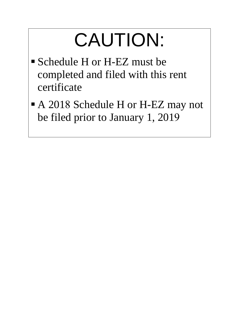# CAUTION:

- Schedule H or H-EZ must be completed and filed with this rent certificate
- A 2018 Schedule H or H-EZ may not be filed prior to January 1, 2019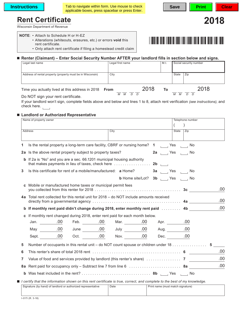Tab to navigate within form. Use mouse to check applicable boxes, press spacebar or press Enter.

**Save | Print | Clear** 

# **Rent Certificate 2018**

Wisconsin Department of Revenue

- **NOTE**: Attach to Schedule H or H-EZ • Alterations (whiteouts, erasures, etc.) or errors **void** this rent certificate.
	- Only attach rent certificate if filing a homestead credit claim

### **Renter (Claimant) – Enter Social Security Number AFTER your landlord fills in section below and signs.**

| Legal last name                                            | Legal first name | M.I.       | Social security number |  |
|------------------------------------------------------------|------------------|------------|------------------------|--|
| Address of rental property (property must be in Wisconsin) | City             |            | Zip<br>State           |  |
| Time you actually lived at this address in 2018            | From             | 2018<br>То | 2018<br>М              |  |

Do NOT sign your rent certificate.

If your landlord won't sign, complete fields above and below and lines 1 to 8, attach rent verification *(see instructions)*, and check here.

## **Landlord or Authorized Representative**

|   | Name of property owner                                                                                                    |      |  | Telephone number          |      |  |
|---|---------------------------------------------------------------------------------------------------------------------------|------|--|---------------------------|------|--|
|   |                                                                                                                           |      |  |                           |      |  |
|   | Address                                                                                                                   | City |  | State<br>$\overline{Zip}$ |      |  |
|   |                                                                                                                           |      |  |                           |      |  |
| 1 | Is the rental property a long-term care facility, CBRF or nursing home? 1 [12] Yes [14] No                                |      |  |                           |      |  |
|   | 2a Is the above rental property subject to property taxes?                                                                |      |  | 2a Yes No                 |      |  |
|   | <b>b</b> If 2a is "No" and you are a sec. 66.1201 municipal housing authority                                             |      |  |                           |      |  |
| 3 | Is this certificate for rent of a mobile/manufactured: a Home?                                                            |      |  | 3a Yes No                 |      |  |
|   | <b>b</b> Home site/Lot? <b>3b</b> $\qquad$ Yes $\qquad$ No                                                                |      |  |                           |      |  |
|   | c Mobile or manufactured home taxes or municipal permit fees                                                              |      |  |                           | .00. |  |
|   | 4a Total rent collected for this rental unit for 2018 - do NOT include amounts received                                   |      |  |                           | .00  |  |
|   | b If monthly rent paid didn't change during 2018, enter monthly rent paid  4b                                             |      |  |                           | .00  |  |
|   | c If monthly rent changed during 2018, enter rent paid for each month below.                                              |      |  |                           |      |  |
|   |                                                                                                                           |      |  |                           |      |  |
|   |                                                                                                                           |      |  |                           |      |  |
|   | Sept. 00 Oct. 00 Nov. 00 Dec. 00                                                                                          |      |  |                           |      |  |
| 5 | Number of occupants in this rental unit – do NOT count spouse or children under 18 5                                      |      |  |                           |      |  |
| 6 |                                                                                                                           |      |  |                           | .00  |  |
| 7 |                                                                                                                           |      |  |                           | .00  |  |
|   | 8a Rent paid for occupancy only – Subtract line 7 from line 6 …………………………………… 8a                                           |      |  |                           | .00  |  |
|   |                                                                                                                           |      |  |                           |      |  |
|   | I certify that the information shown on this rent certificate is true, correct, and complete to the best of my knowledge. |      |  |                           |      |  |

| Signature (by hand) of landlord or authorized representative | Date | Print name (must match signature) |
|--------------------------------------------------------------|------|-----------------------------------|
|                                                              |      |                                   |
|                                                              |      |                                   |
| $1.047$ : $(0.010)$                                          |      |                                   |

П